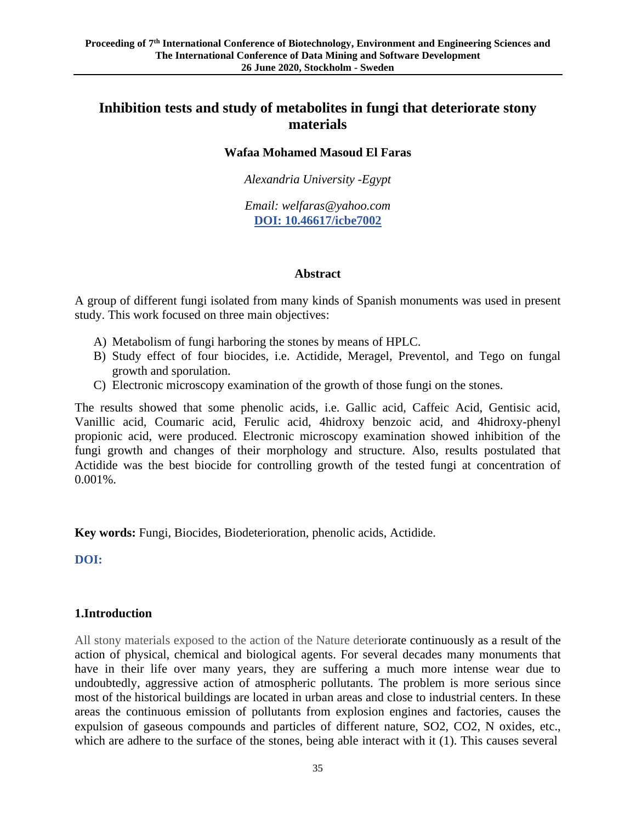# **Inhibition tests and study of metabolites in fungi that deteriorate stony materials**

#### **Wafaa Mohamed Masoud El Faras**

*Alexandria University -Egypt*

*Email: welfaras@yahoo.com* **DOI: 10.46617/icbe7002**

#### **Abstract**

A group of different fungi isolated from many kinds of Spanish monuments was used in present study. This work focused on three main objectives:

- A) Metabolism of fungi harboring the stones by means of HPLC.
- B) Study effect of four biocides, i.e. Actidide, Meragel, Preventol, and Tego on fungal growth and sporulation.
- C) Electronic microscopy examination of the growth of those fungi on the stones.

The results showed that some phenolic acids, i.e. Gallic acid, Caffeic Acid, Gentisic acid, Vanillic acid, Coumaric acid, Ferulic acid, 4hidroxy benzoic acid, and 4hidroxy-phenyl propionic acid, were produced. Electronic microscopy examination showed inhibition of the fungi growth and changes of their morphology and structure. Also, results postulated that Actidide was the best biocide for controlling growth of the tested fungi at concentration of 0.001%.

**Key words:** Fungi, Biocides, Biodeterioration, phenolic acids, Actidide.

**DOI:** 

## **1.Introduction**

All stony materials exposed to the action of the Nature deteriorate continuously as a result of the action of physical, chemical and biological agents. For several decades many monuments that have in their life over many years, they are suffering a much more intense wear due to undoubtedly, aggressive action of atmospheric pollutants. The problem is more serious since most of the historical buildings are located in urban areas and close to industrial centers. In these areas the continuous emission of pollutants from explosion engines and factories, causes the expulsion of gaseous compounds and particles of different nature, SO2, CO2, N oxides, etc., which are adhere to the surface of the stones, being able interact with it (1). This causes several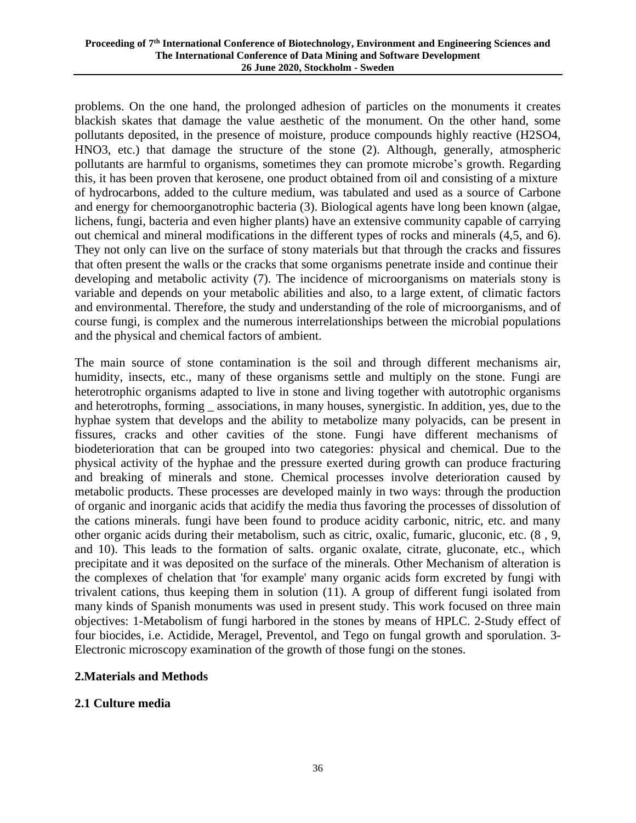problems. On the one hand, the prolonged adhesion of particles on the monuments it creates blackish skates that damage the value aesthetic of the monument. On the other hand, some pollutants deposited, in the presence of moisture, produce compounds highly reactive (H2SO4, HNO3, etc.) that damage the structure of the stone (2). Although, generally, atmospheric pollutants are harmful to organisms, sometimes they can promote microbe's growth. Regarding this, it has been proven that kerosene, one product obtained from oil and consisting of a mixture of hydrocarbons, added to the culture medium, was tabulated and used as a source of Carbone and energy for chemoorganotrophic bacteria (3). Biological agents have long been known (algae, lichens, fungi, bacteria and even higher plants) have an extensive community capable of carrying out chemical and mineral modifications in the different types of rocks and minerals (4,5, and 6). They not only can live on the surface of stony materials but that through the cracks and fissures that often present the walls or the cracks that some organisms penetrate inside and continue their developing and metabolic activity (7). The incidence of microorganisms on materials stony is variable and depends on your metabolic abilities and also, to a large extent, of climatic factors and environmental. Therefore, the study and understanding of the role of microorganisms, and of course fungi, is complex and the numerous interrelationships between the microbial populations and the physical and chemical factors of ambient.

The main source of stone contamination is the soil and through different mechanisms air, humidity, insects, etc., many of these organisms settle and multiply on the stone. Fungi are heterotrophic organisms adapted to live in stone and living together with autotrophic organisms and heterotrophs, forming associations, in many houses, synergistic. In addition, yes, due to the hyphae system that develops and the ability to metabolize many polyacids, can be present in fissures, cracks and other cavities of the stone. Fungi have different mechanisms of biodeterioration that can be grouped into two categories: physical and chemical. Due to the physical activity of the hyphae and the pressure exerted during growth can produce fracturing and breaking of minerals and stone. Chemical processes involve deterioration caused by metabolic products. These processes are developed mainly in two ways: through the production of organic and inorganic acids that acidify the media thus favoring the processes of dissolution of the cations minerals. fungi have been found to produce acidity carbonic, nitric, etc. and many other organic acids during their metabolism, such as citric, oxalic, fumaric, gluconic, etc. (8 , 9, and 10). This leads to the formation of salts. organic oxalate, citrate, gluconate, etc., which precipitate and it was deposited on the surface of the minerals. Other Mechanism of alteration is the complexes of chelation that 'for example' many organic acids form excreted by fungi with trivalent cations, thus keeping them in solution (11). A group of different fungi isolated from many kinds of Spanish monuments was used in present study. This work focused on three main objectives: 1-Metabolism of fungi harbored in the stones by means of HPLC. 2-Study effect of four biocides, i.e. Actidide, Meragel, Preventol, and Tego on fungal growth and sporulation. 3- Electronic microscopy examination of the growth of those fungi on the stones.

## **2.Materials and Methods**

## **2.1 Culture media**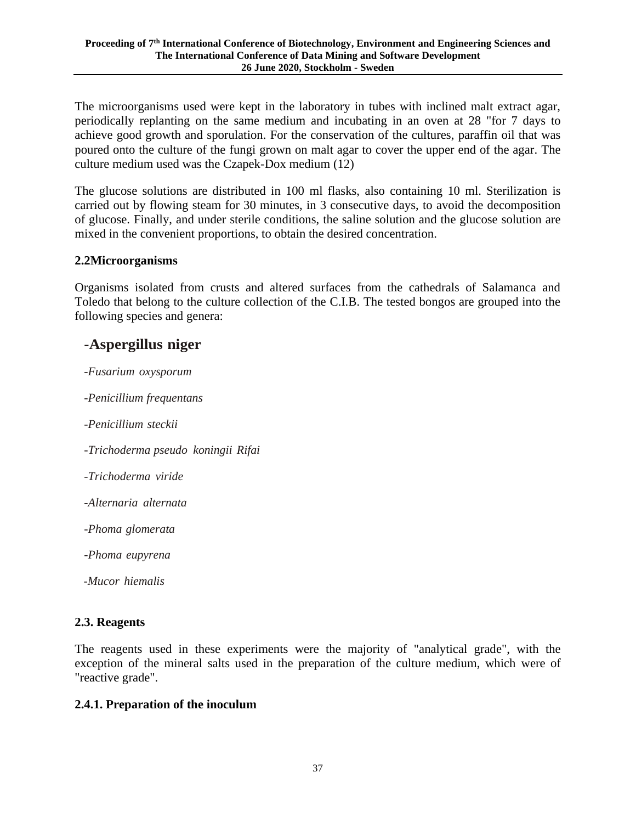The microorganisms used were kept in the laboratory in tubes with inclined malt extract agar, periodically replanting on the same medium and incubating in an oven at 28 "for 7 days to achieve good growth and sporulation. For the conservation of the cultures, paraffin oil that was poured onto the culture of the fungi grown on malt agar to cover the upper end of the agar. The culture medium used was the Czapek-Dox medium (12)

The glucose solutions are distributed in 100 ml flasks, also containing 10 ml. Sterilization is carried out by flowing steam for 30 minutes, in 3 consecutive days, to avoid the decomposition of glucose. Finally, and under sterile conditions, the saline solution and the glucose solution are mixed in the convenient proportions, to obtain the desired concentration.

#### **2.2Microorganisms**

Organisms isolated from crusts and altered surfaces from the cathedrals of Salamanca and Toledo that belong to the culture collection of the C.I.B. The tested bongos are grouped into the following species and genera:

# **-Aspergillus niger**

*-Fusarium oxysporum -Penicillium frequentans -Penicillium steckii -Trichoderma pseudo koningii Rifai -Trichoderma viride -Alternaria alternata -Phoma glomerata -Phoma eupyrena -Mucor hiemalis*

## **2.3. Reagents**

The reagents used in these experiments were the majority of "analytical grade", with the exception of the mineral salts used in the preparation of the culture medium, which were of "reactive grade".

## **2.4.1. Preparation of the inoculum**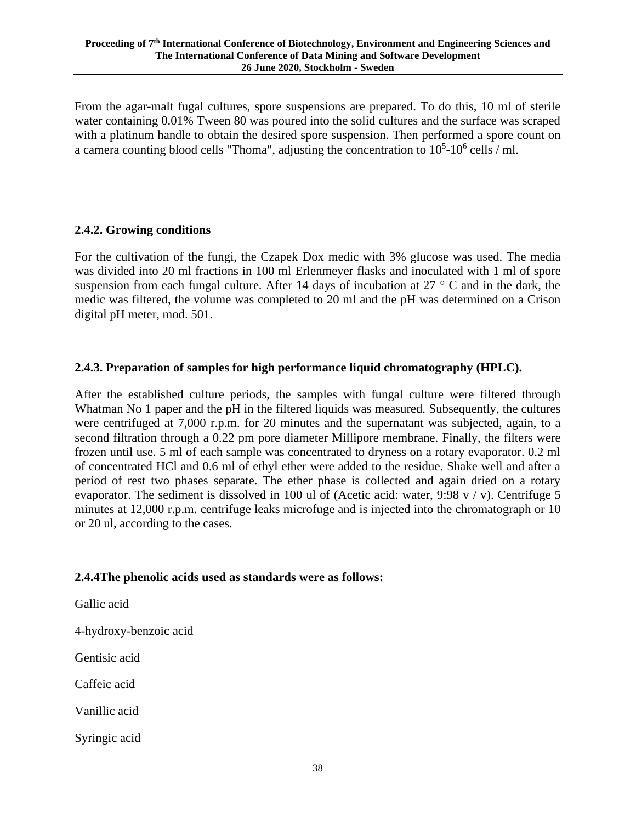From the agar-malt fugal cultures, spore suspensions are prepared. To do this, 10 ml of sterile water containing 0.01% Tween 80 was poured into the solid cultures and the surface was scraped with a platinum handle to obtain the desired spore suspension. Then performed a spore count on a camera counting blood cells "Thoma", adjusting the concentration to  $10^5$ - $10^6$  cells / ml.

## **2.4.2. Growing conditions**

For the cultivation of the fungi, the Czapek Dox medic with 3% glucose was used. The media was divided into 20 ml fractions in 100 ml Erlenmeyer flasks and inoculated with 1 ml of spore suspension from each fungal culture. After 14 days of incubation at 27 ° C and in the dark, the medic was filtered, the volume was completed to 20 ml and the pH was determined on a Crison digital pH meter, mod. 501.

# **2.4.3. Preparation of samples for high performance liquid chromatography (HPLC).**

After the established culture periods, the samples with fungal culture were filtered through Whatman No 1 paper and the pH in the filtered liquids was measured. Subsequently, the cultures were centrifuged at 7,000 r.p.m. for 20 minutes and the supernatant was subjected, again, to a second filtration through a 0.22 pm pore diameter Millipore membrane. Finally, the filters were frozen until use. 5 ml of each sample was concentrated to dryness on a rotary evaporator. 0.2 ml of concentrated HCl and 0.6 ml of ethyl ether were added to the residue. Shake well and after a period of rest two phases separate. The ether phase is collected and again dried on a rotary evaporator. The sediment is dissolved in 100 ul of (Acetic acid: water, 9:98 v / v). Centrifuge 5 minutes at 12,000 r.p.m. centrifuge leaks microfuge and is injected into the chromatograph or 10 or 20 ul, according to the cases.

## **2.4.4The phenolic acids used as standards were as follows:**

Gallic acid

4-hydroxy-benzoic acid

Gentisic acid

Caffeic acid

Vanillic acid

Syringic acid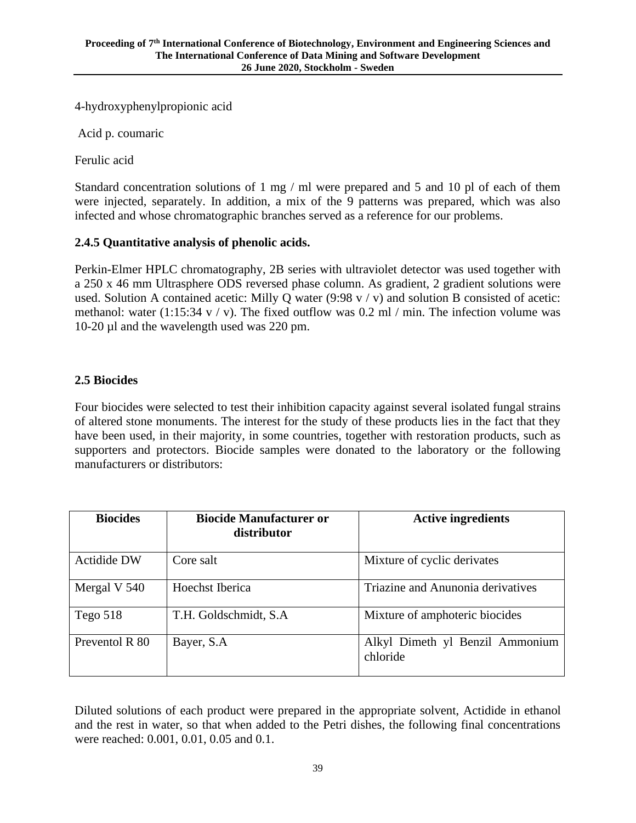4-hydroxyphenylpropionic acid

Acid p. coumaric

Ferulic acid

Standard concentration solutions of 1 mg / ml were prepared and 5 and 10 pl of each of them were injected, separately. In addition, a mix of the 9 patterns was prepared, which was also infected and whose chromatographic branches served as a reference for our problems.

## **2.4.5 Quantitative analysis of phenolic acids.**

Perkin-Elmer HPLC chromatography, 2B series with ultraviolet detector was used together with a 250 x 46 mm Ultrasphere ODS reversed phase column. As gradient, 2 gradient solutions were used. Solution A contained acetic: Milly O water (9:98 v / v) and solution B consisted of acetic: methanol: water (1:15:34 v / v). The fixed outflow was 0.2 ml / min. The infection volume was 10-20 µl and the wavelength used was 220 pm.

# **2.5 Biocides**

Four biocides were selected to test their inhibition capacity against several isolated fungal strains of altered stone monuments. The interest for the study of these products lies in the fact that they have been used, in their majority, in some countries, together with restoration products, such as supporters and protectors. Biocide samples were donated to the laboratory or the following manufacturers or distributors:

| <b>Biocides</b>    | <b>Biocide Manufacturer or</b><br>distributor | <b>Active ingredients</b>                   |  |  |
|--------------------|-----------------------------------------------|---------------------------------------------|--|--|
| <b>Actidide DW</b> | Core salt                                     | Mixture of cyclic derivates                 |  |  |
| Mergal V 540       | Hoechst Iberica                               | Triazine and Anunonia derivatives           |  |  |
| Tego $518$         | T.H. Goldschmidt, S.A.                        | Mixture of amphoteric biocides              |  |  |
| Preventol R 80     | Bayer, S.A.                                   | Alkyl Dimeth yl Benzil Ammonium<br>chloride |  |  |

Diluted solutions of each product were prepared in the appropriate solvent, Actidide in ethanol and the rest in water, so that when added to the Petri dishes, the following final concentrations were reached: 0.001, 0.01, 0.05 and 0.1.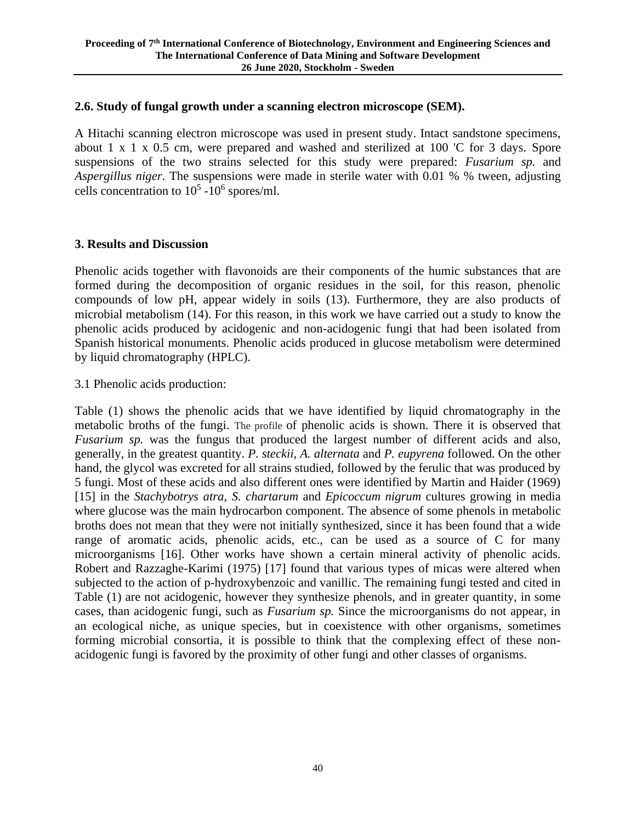#### **2.6. Study of fungal growth under a scanning electron microscope (SEM).**

A Hitachi scanning electron microscope was used in present study. Intact sandstone specimens, about 1 x 1 x 0.5 cm, were prepared and washed and sterilized at 100 'C for 3 days. Spore suspensions of the two strains selected for this study were prepared: *Fusarium sp.* and *Aspergillus niger*. The suspensions were made in sterile water with 0.01 % % tween, adjusting cells concentration to  $10^5$  -10<sup>6</sup> spores/ml.

#### **3. Results and Discussion**

Phenolic acids together with flavonoids are their components of the humic substances that are formed during the decomposition of organic residues in the soil, for this reason, phenolic compounds of low pH, appear widely in soils (13). Furthermore, they are also products of microbial metabolism (14). For this reason, in this work we have carried out a study to know the phenolic acids produced by acidogenic and non-acidogenic fungi that had been isolated from Spanish historical monuments. Phenolic acids produced in glucose metabolism were determined by liquid chromatography (HPLC).

#### 3.1 Phenolic acids production:

Table (1) shows the phenolic acids that we have identified by liquid chromatography in the metabolic broths of the fungi. The profile of phenolic acids is shown. There it is observed that *Fusarium sp.* was the fungus that produced the largest number of different acids and also, generally, in the greatest quantity. *P. steckii, A. alternata* and *P. eupyrena* followed. On the other hand, the glycol was excreted for all strains studied, followed by the ferulic that was produced by 5 fungi. Most of these acids and also different ones were identified by Martin and Haider (1969) [15] in the *Stachybotrys atra*, *S. chartarum* and *Epicoccum nigrum* cultures growing in media where glucose was the main hydrocarbon component. The absence of some phenols in metabolic broths does not mean that they were not initially synthesized, since it has been found that a wide range of aromatic acids, phenolic acids, etc., can be used as a source of C for many microorganisms [16]. Other works have shown a certain mineral activity of phenolic acids. Robert and Razzaghe-Karimi (1975) [17] found that various types of micas were altered when subjected to the action of p-hydroxybenzoic and vanillic. The remaining fungi tested and cited in Table (1) are not acidogenic, however they synthesize phenols, and in greater quantity, in some cases, than acidogenic fungi, such as *Fusarium sp.* Since the microorganisms do not appear, in an ecological niche, as unique species, but in coexistence with other organisms, sometimes forming microbial consortia, it is possible to think that the complexing effect of these nonacidogenic fungi is favored by the proximity of other fungi and other classes of organisms.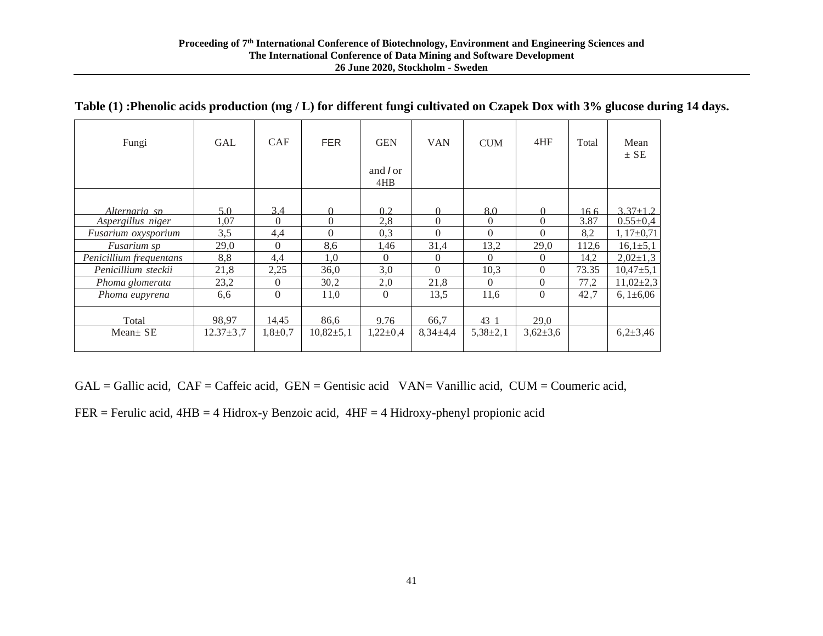| Fungi                   | <b>GAL</b>      | <b>CAF</b> | <b>FER</b>    | <b>GEN</b>           | <b>VAN</b>       | <b>CUM</b>   | 4HF            | Total | Mean<br>$\pm$ SE |
|-------------------------|-----------------|------------|---------------|----------------------|------------------|--------------|----------------|-------|------------------|
|                         |                 |            |               | and <i>or</i><br>4HB |                  |              |                |       |                  |
|                         |                 |            |               |                      |                  |              |                |       |                  |
| Alternaria sp           | 5.0             | 3,4        | $\Omega$      | 02                   | $\Omega$         | 8.0          | $\Omega$       | 16.6  | $3.37 + 1.2$     |
| Aspergillus niger       | 1,07            | $\Omega$   | $\Omega$      | 2,8                  | $\boldsymbol{0}$ | $\Omega$     | $\Omega$       | 3.87  | $0.55 \pm 0.4$   |
| Fusarium oxysporium     | 3,5             | 4,4        | $\Omega$      | 0,3                  | $\Omega$         | $\Omega$     | $\Omega$       | 8,2   | $1,17\pm0,71$    |
| <i>Fusarium sp</i>      | 29,0            | $\Omega$   | 8,6           | 1,46                 | 31,4             | 13,2         | 29,0           | 112,6 | $16,1{\pm}5,1$   |
| Penicillium frequentans | 8,8             | 4,4        | 1,0           | $\Omega$             | $\overline{0}$   | $\Omega$     | $\Omega$       | 14.2  | $2,02\pm1,3$     |
| Penicillium steckii     | 21,8            | 2,25       | 36,0          | 3,0                  | $\Omega$         | 10,3         | $\theta$       | 73.35 | $10,47+5,1$      |
| Phoma glomerata         | 23,2            | $\Omega$   | 30,2          | 2,0                  | 21,8             | $\theta$     | $\theta$       | 77,2  | $11,02\pm2,3$    |
| Phoma eupyrena          | 6,6             | $\Omega$   | 11,0          | $\Omega$             | 13,5             | 11.6         | $\Omega$       | 42,7  | $6,1\pm 6,06$    |
| Total                   | 98,97           | 14,45      | 86,6          | 9.76                 | 66,7             | 43 1         | 29,0           |       |                  |
| Mean $\pm$ SE           | $12.37 \pm 3.7$ | $1,8+0,7$  | $10,82\pm5,1$ | $1,22\pm0,4$         | $8,34\pm4,4$     | $5,38\pm2,1$ | $3,62{\pm}3,6$ |       | $6,2{\pm}3,46$   |

#### **Table (1) :Phenolic acids production (mg / L) for different fungi cultivated on Czapek Dox with 3% glucose during 14 days.**

 $GAL = Gallic acid, CAF = Caffetic acid, GEN = Gentisic acid, VAN = Vanillic acid, CUM = Courneric acid, CIAF = Caffetic acid, GEN = Gentisic acid, VAN = Canillic acid, CUM = Courneric acid, CIAF = CCH, CIAF = CCH, CIAF = CCH, CIAF = CCH, CIAF = CCH, CIAF = CCH, CIAF = CCH, CIAF = CCH, CIAF = CCH, CIAF = CCH, CIAF = CCH, CIAF = CCH, CIAF = CCH, CIAF = CCH, CIAF = CCH, CIAF = CCH, CIAF = CCH, CIAF = CCH, CIAF = CCH, CIAF = CCH, CIAF = CCH, CIAF = C$ 

FER = Ferulic acid, 4HB = 4 Hidrox-y Benzoic acid, 4HF = 4 Hidroxy-phenyl propionic acid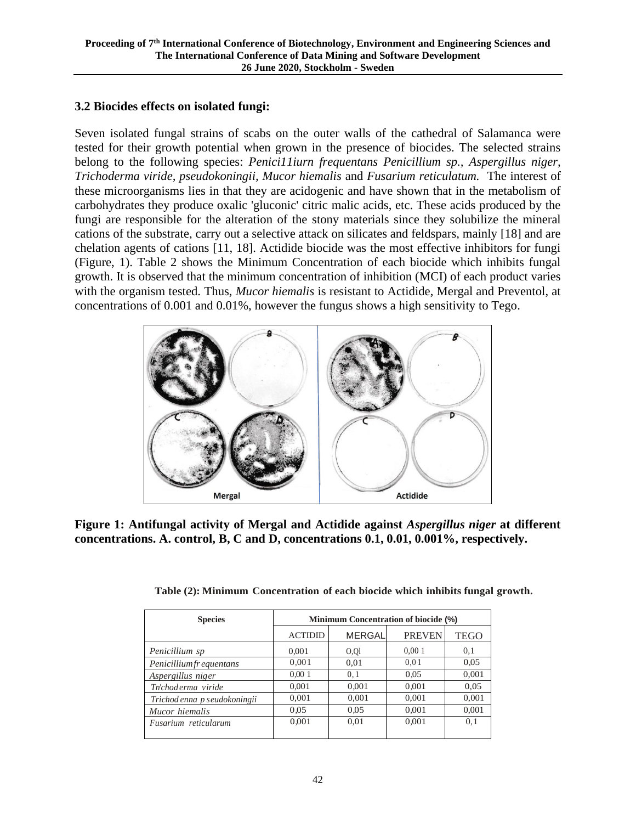## **3.2 Biocides effects on isolated fungi:**

Seven isolated fungal strains of scabs on the outer walls of the cathedral of Salamanca were tested for their growth potential when grown in the presence of biocides. The selected strains belong to the following species: *Penici11iurn frequentans Penicillium sp., Aspergillus niger, Trichoderma viride, pseudokoningii, Mucor hiemalis* and *Fusarium reticulatum.* The interest of these microorganisms lies in that they are acidogenic and have shown that in the metabolism of carbohydrates they produce oxalic 'gluconic' citric malic acids, etc. These acids produced by the fungi are responsible for the alteration of the stony materials since they solubilize the mineral cations of the substrate, carry out a selective attack on silicates and feldspars, mainly [18] and are chelation agents of cations [11, 18]. Actidide biocide was the most effective inhibitors for fungi (Figure, 1). Table 2 shows the Minimum Concentration of each biocide which inhibits fungal growth. It is observed that the minimum concentration of inhibition (MCI) of each product varies with the organism tested. Thus, *Mucor hiemalis* is resistant to Actidide, Mergal and Preventol, at concentrations of 0.001 and 0.01%, however the fungus shows a high sensitivity to Tego.



**Figure 1: Antifungal activity of Mergal and Actidide against** *Aspergillus niger* **at different concentrations. A. control, B, C and D, concentrations 0.1, 0.01, 0.001%, respectively.**

| <b>Species</b>                | <b>Minimum Concentration of biocide (%)</b> |               |               |       |  |  |
|-------------------------------|---------------------------------------------|---------------|---------------|-------|--|--|
|                               | <b>ACTIDID</b>                              | <b>MERGAL</b> | <b>PREVEN</b> | TEGO  |  |  |
| Penicillium sp                | 0,001                                       | $Q_{\rm Q}$   | 0,001         | 0,1   |  |  |
| <b>Penicilliumfrequentans</b> | 0,001                                       | 0,01          | 0.01          | 0.05  |  |  |
| Aspergillus niger             | 0,001                                       | 0.1           | 0.05          | 0,001 |  |  |
| Tn'choderma viride            | 0,001                                       | 0,001         | 0,001         | 0.05  |  |  |
| Trichod enna p seudokoningii  | 0,001                                       | 0,001         | 0.001         | 0,001 |  |  |
| Mucor hiemalis                | 0.05                                        | 0.05          | 0.001         | 0,001 |  |  |
| Fusarium reticularum          | 0,001                                       | 0,01          | 0.001         | 0.1   |  |  |

**Table (2): Minimum Concentration of each biocide which inhibits fungal growth.**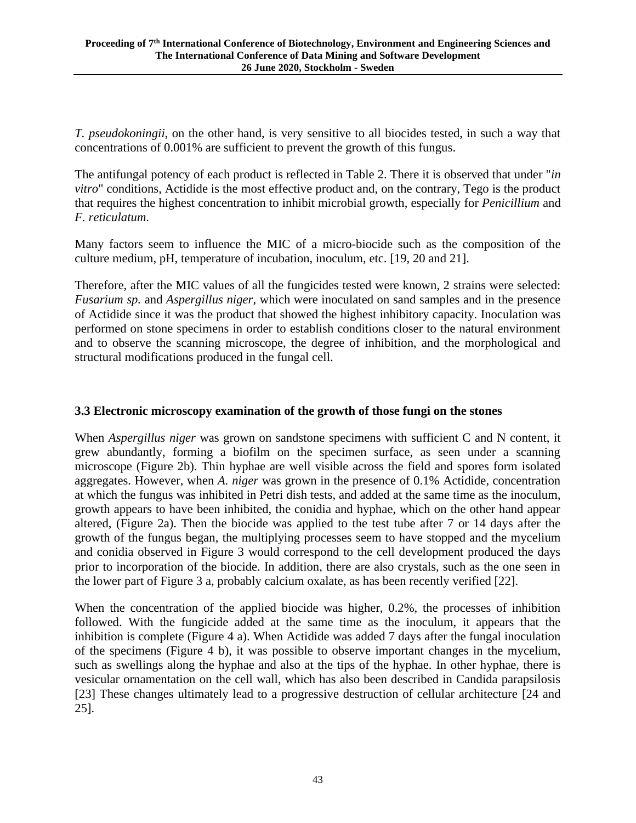*T. pseudokoningii*, on the other hand, is very sensitive to all biocides tested, in such a way that concentrations of 0.001% are sufficient to prevent the growth of this fungus.

The antifungal potency of each product is reflected in Table 2. There it is observed that under "*in vitro*" conditions, Actidide is the most effective product and, on the contrary, Tego is the product that requires the highest concentration to inhibit microbial growth, especially for *Penicillium* and *F. reticulatum*.

Many factors seem to influence the MIC of a micro-biocide such as the composition of the culture medium, pH, temperature of incubation, inoculum, etc. [19, 20 and 21].

Therefore, after the MIC values of all the fungicides tested were known, 2 strains were selected: *Fusarium sp.* and *Aspergillus niger*, which were inoculated on sand samples and in the presence of Actidide since it was the product that showed the highest inhibitory capacity. Inoculation was performed on stone specimens in order to establish conditions closer to the natural environment and to observe the scanning microscope, the degree of inhibition, and the morphological and structural modifications produced in the fungal cell.

#### **3.3 Electronic microscopy examination of the growth of those fungi on the stones**

When *Aspergillus niger* was grown on sandstone specimens with sufficient C and N content, it grew abundantly, forming a biofilm on the specimen surface, as seen under a scanning microscope (Figure 2b). Thin hyphae are well visible across the field and spores form isolated aggregates. However, when *A. niger* was grown in the presence of 0.1% Actidide, concentration at which the fungus was inhibited in Petri dish tests, and added at the same time as the inoculum, growth appears to have been inhibited, the conidia and hyphae, which on the other hand appear altered, (Figure 2a). Then the biocide was applied to the test tube after 7 or 14 days after the growth of the fungus began, the multiplying processes seem to have stopped and the mycelium and conidia observed in Figure 3 would correspond to the cell development produced the days prior to incorporation of the biocide. In addition, there are also crystals, such as the one seen in the lower part of Figure 3 a, probably calcium oxalate, as has been recently verified [22].

When the concentration of the applied biocide was higher, 0.2%, the processes of inhibition followed. With the fungicide added at the same time as the inoculum, it appears that the inhibition is complete (Figure 4 a). When Actidide was added 7 days after the fungal inoculation of the specimens (Figure 4 b), it was possible to observe important changes in the mycelium, such as swellings along the hyphae and also at the tips of the hyphae. In other hyphae, there is vesicular ornamentation on the cell wall, which has also been described in Candida parapsilosis [23] These changes ultimately lead to a progressive destruction of cellular architecture [24 and 25].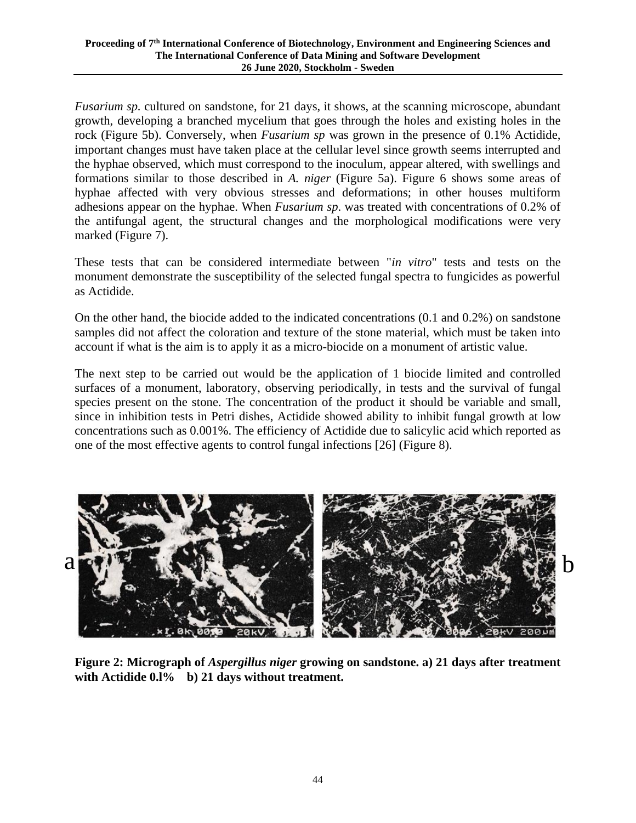*Fusarium sp.* cultured on sandstone, for 21 days, it shows, at the scanning microscope, abundant growth, developing a branched mycelium that goes through the holes and existing holes in the rock (Figure 5b). Conversely, when *Fusarium sp* was grown in the presence of 0.1% Actidide, important changes must have taken place at the cellular level since growth seems interrupted and the hyphae observed, which must correspond to the inoculum, appear altered, with swellings and formations similar to those described in *A. niger* (Figure 5a). Figure 6 shows some areas of hyphae affected with very obvious stresses and deformations; in other houses multiform adhesions appear on the hyphae. When *Fusarium sp*. was treated with concentrations of 0.2% of the antifungal agent, the structural changes and the morphological modifications were very marked (Figure 7).

These tests that can be considered intermediate between "*in vitro*" tests and tests on the monument demonstrate the susceptibility of the selected fungal spectra to fungicides as powerful as Actidide.

On the other hand, the biocide added to the indicated concentrations (0.1 and 0.2%) on sandstone samples did not affect the coloration and texture of the stone material, which must be taken into account if what is the aim is to apply it as a micro-biocide on a monument of artistic value.

The next step to be carried out would be the application of 1 biocide limited and controlled surfaces of a monument, laboratory, observing periodically, in tests and the survival of fungal species present on the stone. The concentration of the product it should be variable and small, since in inhibition tests in Petri dishes, Actidide showed ability to inhibit fungal growth at low concentrations such as 0.001%. The efficiency of Actidide due to salicylic acid which reported as one of the most effective agents to control fungal infections [26] (Figure 8).



**Figure 2: Micrograph of** *Aspergillus niger* **growing on sandstone. a) 21 days after treatment with Actidide 0.l% b) 21 days without treatment.**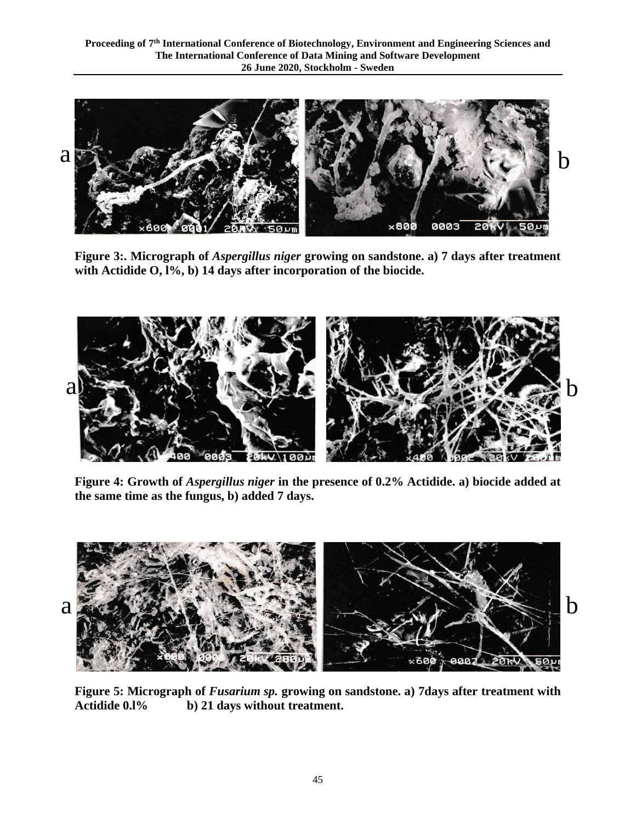

**Figure 3:. Micrograph of** *Aspergillus niger* **growing on sandstone. a) 7 days after treatment with Actidide O, l%, b) 14 days after incorporation of the biocide.**



**Figure 4: Growth of** *Aspergillus niger* **in the presence of 0.2% Actidide. a) biocide added at the same time as the fungus, b) added 7 days.**



**Figure 5: Micrograph of** *Fusarium sp.* **growing on sandstone. a) 7days after treatment with Actidide 0.l% b) 21 days without treatment.**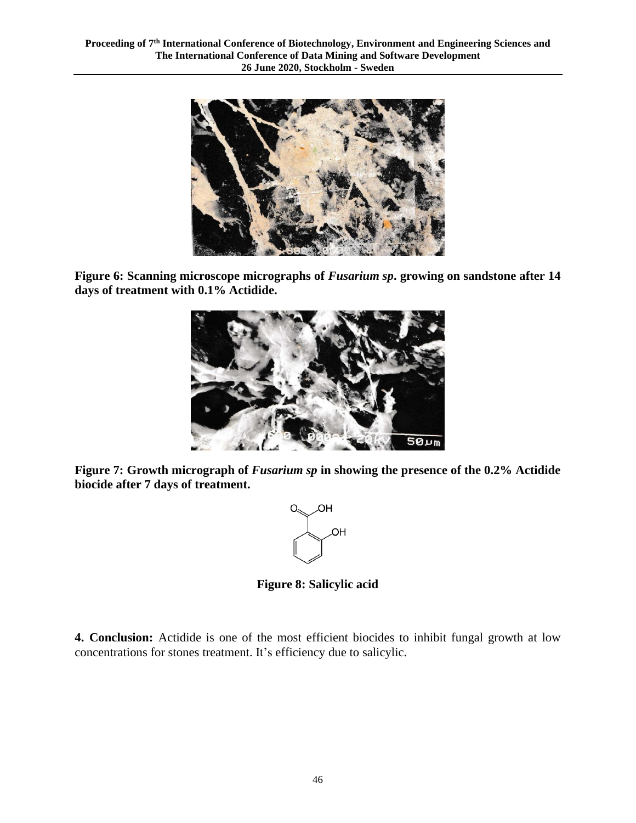

**Figure 6: Scanning microscope micrographs of** *Fusarium sp***. growing on sandstone after 14 days of treatment with 0.1% Actidide.**



**Figure 7: Growth micrograph of** *Fusarium sp* **in showing the presence of the 0.2% Actidide biocide after 7 days of treatment.**



**Figure 8: Salicylic acid**

**4. Conclusion:** Actidide is one of the most efficient biocides to inhibit fungal growth at low concentrations for stones treatment. It's efficiency due to salicylic.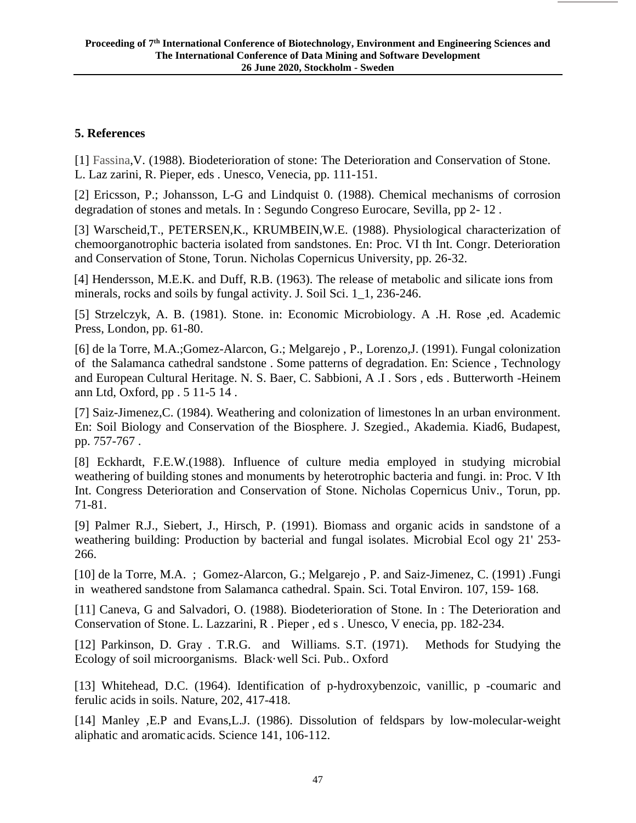## **5. References**

[1] Fassina, V. (1988). Biodeterioration of stone: The Deterioration and Conservation of Stone. L. Laz zarini, R. Pieper, eds . Unesco, Venecia, pp. 111-151.

[2] Ericsson, P.; Johansson, L-G and Lindquist 0. (1988). Chemical mechanisms of corrosion degradation of stones and metals. In : Segundo Congreso Eurocare, Sevilla, pp 2- 12 .

[3] Warscheid, T., PETERSEN, K., KRUMBEIN, W.E. (1988). Physiological characterization of chemoorganotrophic bacteria isolated from sandstones. En: Proc. VI th Int. Congr. Deterioration and Conservation of Stone, Torun. Nicholas Copernicus University, pp. 26-32.

[4] Hendersson, M.E.K. and Duff, R.B. (1963). The release of metabolic and silicate ions from minerals, rocks and soils by fungal activity. J. Soil Sci. 1\_1, 236-246.

[5] Strzelczyk, A. B. (1981). Stone. in: Economic Microbiology. A .H. Rose ,ed. Academic Press, London, pp. 61-80.

[6] de la Torre, M.A.;Gomez-Alarcon, G.; Melgarejo , P., Lorenzo,J. (1991). Fungal colonization of the Salamanca cathedral sandstone . Some patterns of degradation. En: Science , Technology and European Cultural Heritage. N. S. Baer, C. Sabbioni, A .I . Sors , eds . Butterworth -Heinem ann Ltd, Oxford, pp . 5 11-5 14 .

[7] Saiz-Jimenez,C. (1984). Weathering and colonization of limestones ln an urban environment. En: Soil Biology and Conservation of the Biosphere. J. Szegied., Akademia. Kiad6, Budapest, pp. 757-767 .

[8] Eckhardt, F.E.W.(1988). Influence of culture media employed in studying microbial weathering of building stones and monuments by heterotrophic bacteria and fungi. in: Proc. V Ith Int. Congress Deterioration and Conservation of Stone. Nicholas Copernicus Univ., Torun, pp. 71-81.

[9] Palmer R.J., Siebert, J., Hirsch, P. (1991). Biomass and organic acids in sandstone of a weathering building: Production by bacterial and fungal isolates. Microbial Ecol ogy 21' 253- 266.

[10] de la Torre, M.A. ; Gomez-Alarcon, G.; Melgarejo, P. and Saiz-Jimenez, C. (1991) .Fungi in weathered sandstone from Salamanca cathedral. Spain. Sci. Total Environ. 107, 159- 168.

[11] Caneva, G and Salvadori, O. (1988). Biodeterioration of Stone. In: The Deterioration and Conservation of Stone. L. Lazzarini, R . Pieper , ed s . Unesco, V enecia, pp. 182-234.

[12] Parkinson, D. Gray . T.R.G. and Williams. S.T. (1971). Methods for Studying the Ecology of soil microorganisms. Black·well Sci. Pub.. Oxford

[13] Whitehead, D.C. (1964). Identification of p-hydroxybenzoic, vanillic, p -coumaric and ferulic acids in soils. Nature, 202, 417-418.

[14] Manley , E.P and Evans, L.J. (1986). Dissolution of feldspars by low-molecular-weight aliphatic and aromatic acids. Science 141, 106-112.